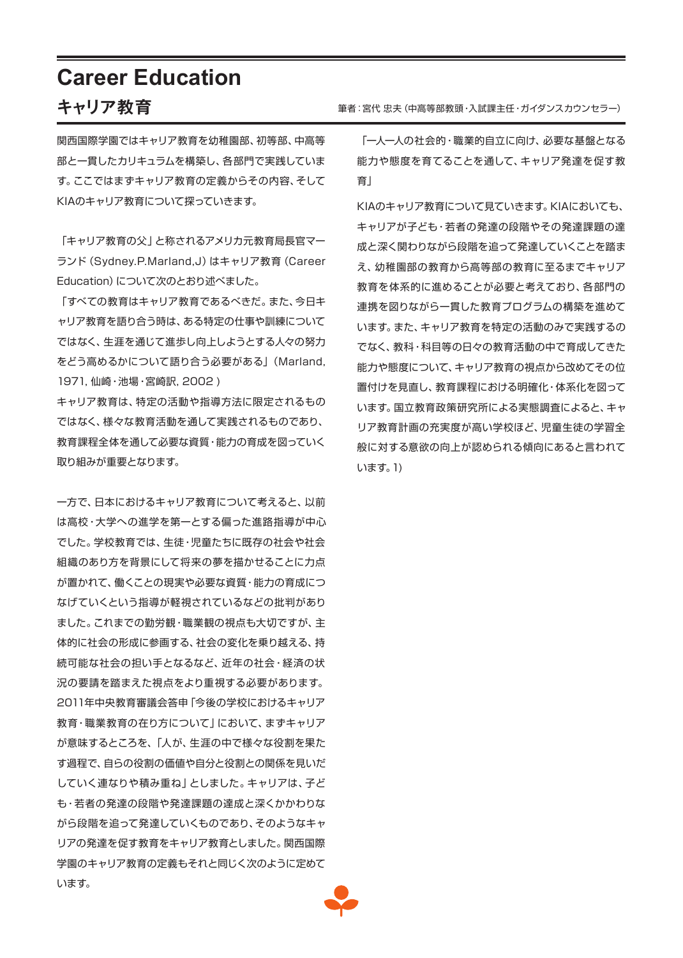## **Career Education**

### キャリア教育

関西国際学園ではキャリア教育を幼稚園部、初等部、中高等 部と一貫したカリキュラムを構築し、各部門で実践していま す。ここではまずキャリア教育の定義からその内容、そして KIAのキャリア教育について探っていきます。

「キャリア教育の父」と称されるアメリカ元教育局長官マー ランド(Sydney.P.Marland,J)はキャリア教育(Career Education)について次のとおり述べました。

「すべての教育はキャリア教育であるべきだ。また、今日キ ャリア教育を語り合う時は、ある特定の仕事や訓練について ではなく、生涯を通じて進歩し向上しようとする人々の努力 をどう高めるかについて語り合う必要がある」(Marland, 1971, 仙崎・池場・宮崎訳, 2002 )

キャリア教育は、特定の活動や指導方法に限定されるもの ではなく、様々な教育活動を通して実践されるものであり、 教育課程全体を通して必要な資質・能力の育成を図っていく 取り組みが重要となります。

一方で、日本におけるキャリア教育について考えると、以前 は高校・大学への進学を第一とする偏った進路指導が中心 でした。学校教育では、生徒・児童たちに既存の社会や社会 組織のあり方を背景にして将来の夢を描かせることに力点 が置かれて、働くことの現実や必要な資質・能力の育成につ なげていくという指導が軽視されているなどの批判があり ました。これまでの勤労観・職業観の視点も大切ですが、主 体的に社会の形成に参画する、社会の変化を乗り越える、持 続可能な社会の担い手となるなど、近年の社会・経済の状 況の要請を踏まえた視点をより重視する必要があります。 2011年中央教育審議会答申「今後の学校におけるキャリア 教育・職業教育の在り方について」において、まずキャリア が意味するところを、「人が、生涯の中で様々な役割を果た す過程で、自らの役割の価値や自分と役割との関係を見いだ していく連なりや積み重ね」としました。キャリアは、子ど も・若者の発達の段階や発達課題の達成と深くかかわりな がら段階を追って発達していくものであり、そのようなキャ リアの発達を促す教育をキャリア教育としました。関西国際 学園のキャリア教育の定義もそれと同じく次のように定めて います。

筆者:宮代 忠夫(中高等部教頭・入試課主任・ガイダンスカウンセラー)

「一人一人の社会的・職業的自立に向け、必要な基盤となる 能力や態度を育てることを通して、キャリア発達を促す教 育」

KIAのキャリア教育について見ていきます。KIAにおいても、 キャリアが子ども・若者の発達の段階やその発達課題の達 成と深く関わりながら段階を追って発達していくことを踏ま え、幼稚園部の教育から高等部の教育に至るまでキャリア 教育を体系的に進めることが必要と考えており、各部門の 連携を図りながら一貫した教育プログラムの構築を進めて います。また、キャリア教育を特定の活動のみで実践するの でなく、教科・科目等の日々の教育活動の中で育成してきた 能力や態度について、キャリア教育の視点から改めてその位 置付けを見直し、教育課程における明確化・体系化を図って います。国立教育政策研究所による実態調査によると、キャ リア教育計画の充実度が高い学校ほど、児童生徒の学習全 般に対する意欲の向上が認められる傾向にあると言われて います。1)

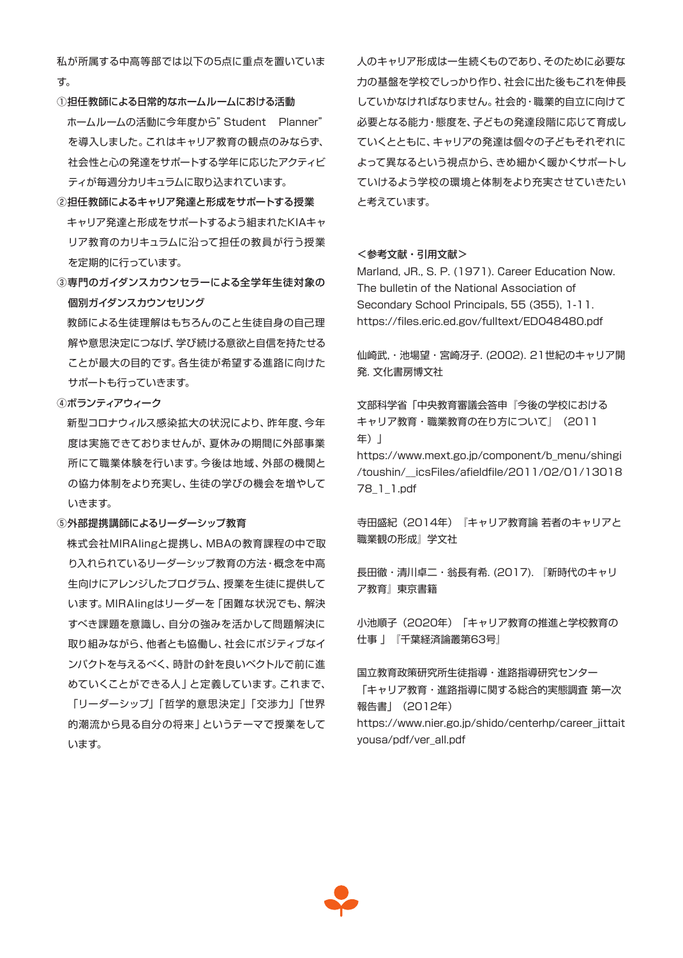私が所属する中高等部では以下の5点に重点を置いていま す。

- ①担任教師による日常的なホームルームにおける活動 ホームルームの活動に今年度から"Student Planner" を導入しました。これはキャリア教育の観点のみならず、 社会性と心の発達をサポートする学年に応じたアクティビ ティが毎週分カリキュラムに取り込まれています。
- ②担任教師によるキャリア発達と形成をサポートする授業 キャリア発達と形成をサポートするよう組まれたKIAキャ リア教育のカリキュラムに沿って担任の教員が行う授業 を定期的に行っています。
- ③専門のガイダンスカウンセラーによる全学年生徒対象の 個別ガイダンスカウンセリング

 教師による生徒理解はもちろんのこと生徒自身の自己理 解や意思決定につなげ、学び続ける意欲と自信を持たせる ことが最大の目的です。各生徒が希望する進路に向けた サポートも行っていきます。

④ボランティアウィーク

 新型コロナウィルス感染拡大の状況により、昨年度、今年 度は実施できておりませんが、夏休みの期間に外部事業 所にて職業体験を行います。今後は地域、外部の機関と の協力体制をより充実し、生徒の学びの機会を増やして いきます。

#### ⑤外部提携講師によるリーダーシップ教育

 株式会社MIRAIingと提携し、MBAの教育課程の中で取 り入れられているリーダーシップ教育の方法・概念を中高 生向けにアレンジしたプログラム、授業を生徒に提供して います。MIRAIingはリーダーを「困難な状況でも、解決 すべき課題を意識し、自分の強みを活かして問題解決に 取り組みながら、他者とも協働し、社会にポジティブなイ ンパクトを与えるべく、時計の針を良いベクトルで前に進 めていくことができる人」と定義しています。これまで、 「リーダーシップ」「哲学的意思決定」「交渉力」「世界 的潮流から見る自分の将来」というテーマで授業をして います。

人のキャリア形成は一生続くものであり、そのために必要な 力の基盤を学校でしっかり作り、社会に出た後もこれを伸長 していかなければなりません。社会的・職業的自立に向けて 必要となる能力・態度を、子どもの発達段階に応じて育成し ていくとともに、キャリアの発達は個々の子どもそれぞれに よって異なるという視点から、きめ細かく暖かくサポートし ていけるよう学校の環境と体制をより充実させていきたい と考えています。

#### <参考文献・引用文献>

Marland, JR., S. P. (1971). Career Education Now. The bulletin of the National Association of Secondary School Principals, 55 (355), 1-11. https://files.eric.ed.gov/fulltext/ED048480.pdf

仙崎武,・池場望・宮崎冴子. (2002). 21世紀のキャリア開 発. 文化書房博文社

文部科学省「中央教育審議会答申『今後の学校における キャリア教育・職業教育の在り方について』(2011 年)」 https://www.mext.go.jp/component/b\_menu/shingi

/toushin/\_\_icsFiles/afieldfile/2011/02/01/13018 78\_1\_1.pdf

寺田盛紀(2014年)『キャリア教育論 若者のキャリアと 職業観の形成』学文社

長田徹・清川卓二・翁長有希. (2017). 『新時代のキャリ ア教育』東京書籍

小池順子(2020年)「キャリア教育の推進と学校教育の 仕事 」『千葉経済論叢第63号』

国立教育政策研究所生徒指導・進路指導研究センター 「キャリア教育・進路指導に関する総合的実態調査 第一次 報告書」(2012年) https://www.nier.go.jp/shido/centerhp/career\_jittait yousa/pdf/ver\_all.pdf

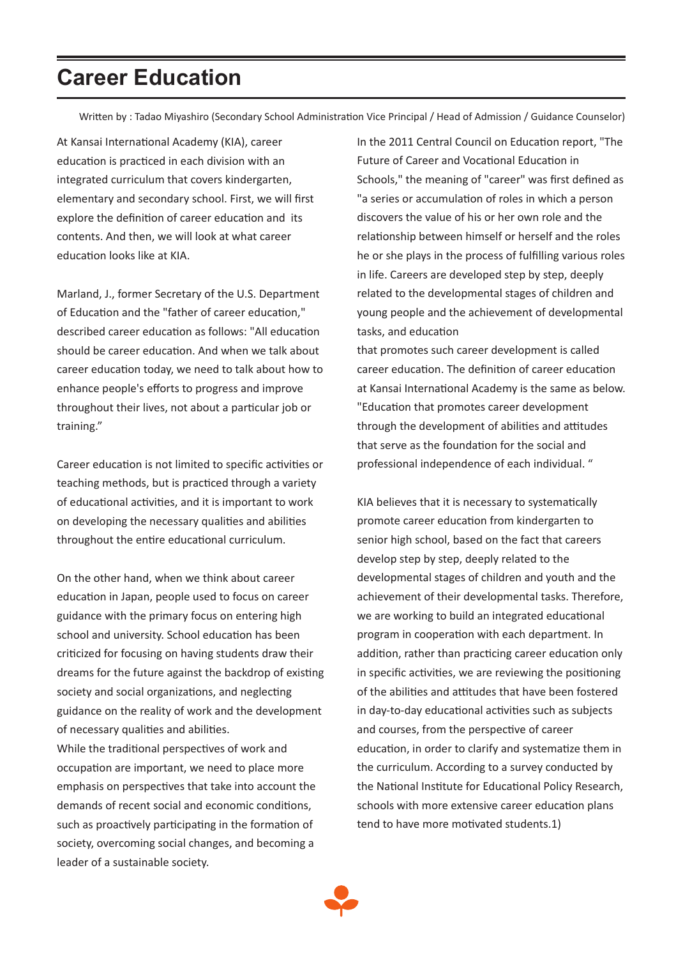# **Career Education**

Written by : Tadao Miyashiro (Secondary School Administration Vice Principal / Head of Admission / Guidance Counselor)

At Kansai International Academy (KIA), career education is practiced in each division with an integrated curriculum that covers kindergarten, elementary and secondary school. First, we will first explore the definition of career education and its contents. And then, we will look at what career education looks like at KIA.

Marland, J., former Secretary of the U.S. Department of Education and the "father of career education," described career education as follows: "All education should be career education. And when we talk about career education today, we need to talk about how to enhance people's efforts to progress and improve throughout their lives, not about a particular job or training."

Career education is not limited to specific activities or teaching methods, but is practiced through a variety of educational activities, and it is important to work on developing the necessary qualities and abilities throughout the entire educational curriculum.

On the other hand, when we think about career education in Japan, people used to focus on career guidance with the primary focus on entering high school and university. School education has been criticized for focusing on having students draw their dreams for the future against the backdrop of existing society and social organizations, and neglecting guidance on the reality of work and the development of necessary qualities and abilities.

While the traditional perspectives of work and occupation are important, we need to place more emphasis on perspectives that take into account the demands of recent social and economic conditions, such as proactively participating in the formation of society, overcoming social changes, and becoming a leader of a sustainable society.

In the 2011 Central Council on Education report, "The Future of Career and Vocational Education in Schools," the meaning of "career" was first defined as "a series or accumulation of roles in which a person discovers the value of his or her own role and the relationship between himself or herself and the roles he or she plays in the process of fulfilling various roles in life. Careers are developed step by step, deeply related to the developmental stages of children and young people and the achievement of developmental tasks, and education

that promotes such career development is called career education. The definition of career education at Kansai International Academy is the same as below. "Education that promotes career development through the development of abilities and attitudes that serve as the foundation for the social and professional independence of each individual. "

KIA believes that it is necessary to systematically promote career education from kindergarten to senior high school, based on the fact that careers develop step by step, deeply related to the developmental stages of children and youth and the achievement of their developmental tasks. Therefore, we are working to build an integrated educational program in cooperation with each department. In addition, rather than practicing career education only in specific activities, we are reviewing the positioning of the abilities and attitudes that have been fostered in day-to-day educational activities such as subjects and courses, from the perspective of career education, in order to clarify and systematize them in the curriculum. According to a survey conducted by the National Institute for Educational Policy Research, schools with more extensive career education plans tend to have more motivated students.1)